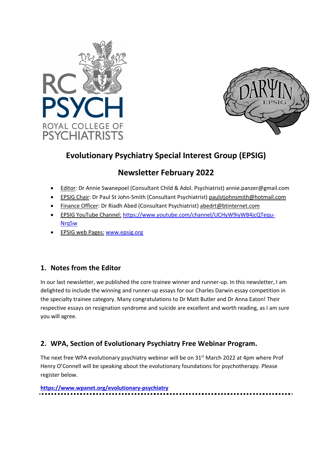



# **Evolutionary Psychiatry Special Interest Group (EPSIG)**

# **Newsletter February 2022**

- Editor: Dr Annie Swanepoel (Consultant Child & Adol. Psychiatrist) annie.panzer@gmail.com
- EPSIG Chair: Dr Paul St John-Smith (Consultant Psychiatrist) paulstjohnsmith@hotmail.com
- Finance Officer: Dr Riadh Abed (Consultant Psychiatrist) abedrt@btinternet.com
- EPSIG YouTube Channel: https://www.youtube.com/channel/UCHyW9iyWB4jcQTequ-Nrq5w
- EPSIG web Pages: www.epsig.org

# **1. Notes from the Editor**

In our last newsletter, we published the core trainee winner and runner-up. In this newsletter, I am delighted to include the winning and runner-up essays for our Charles Darwin essay competition in the specialty trainee category. Many congratulations to Dr Matt Butler and Dr Anna Eaton! Their respective essays on resignation syndrome and suicide are excellent and worth reading, as I am sure you will agree.

# **2. WPA, Section of Evolutionary Psychiatry Free Webinar Program.**

The next free WPA evolutionary psychiatry webinar will be on  $31<sup>st</sup>$  March 2022 at 4pm where Prof Henry O'Connell will be speaking about the evolutionary foundations for psychotherapy. Please register below.

**https://www.wpanet.org/evolutionary-psychiatry**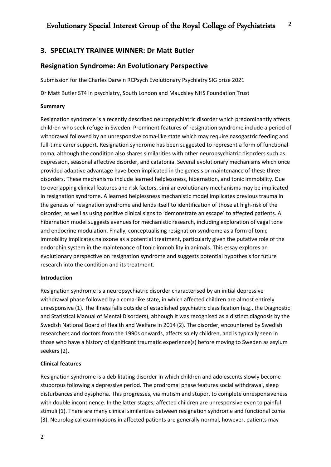# **3. SPECIALTY TRAINEE WINNER: Dr Matt Butler**

# **Resignation Syndrome: An Evolutionary Perspective**

Submission for the Charles Darwin RCPsych Evolutionary Psychiatry SIG prize 2021

Dr Matt Butler ST4 in psychiatry, South London and Maudsley NHS Foundation Trust

## **Summary**

Resignation syndrome is a recently described neuropsychiatric disorder which predominantly affects children who seek refuge in Sweden. Prominent features of resignation syndrome include a period of withdrawal followed by an unresponsive coma-like state which may require nasogastric feeding and full-time carer support. Resignation syndrome has been suggested to represent a form of functional coma, although the condition also shares similarities with other neuropsychiatric disorders such as depression, seasonal affective disorder, and catatonia. Several evolutionary mechanisms which once provided adaptive advantage have been implicated in the genesis or maintenance of these three disorders. These mechanisms include learned helplessness, hibernation, and tonic immobility. Due to overlapping clinical features and risk factors, similar evolutionary mechanisms may be implicated in resignation syndrome. A learned helplessness mechanistic model implicates previous trauma in the genesis of resignation syndrome and lends itself to identification of those at high-risk of the disorder, as well as using positive clinical signs to 'demonstrate an escape' to affected patients. A hibernation model suggests avenues for mechanistic research, including exploration of vagal tone and endocrine modulation. Finally, conceptualising resignation syndrome as a form of tonic immobility implicates naloxone as a potential treatment, particularly given the putative role of the endorphin system in the maintenance of tonic immobility in animals. This essay explores an evolutionary perspective on resignation syndrome and suggests potential hypothesis for future research into the condition and its treatment.

## **Introduction**

Resignation syndrome is a neuropsychiatric disorder characterised by an initial depressive withdrawal phase followed by a coma-like state, in which affected children are almost entirely unresponsive (1). The illness falls outside of established psychiatric classification (e.g., the Diagnostic and Statistical Manual of Mental Disorders), although it was recognised as a distinct diagnosis by the Swedish National Board of Health and Welfare in 2014 (2). The disorder, encountered by Swedish researchers and doctors from the 1990s onwards, affects solely children, and is typically seen in those who have a history of significant traumatic experience(s) before moving to Sweden as asylum seekers (2).

## **Clinical features**

Resignation syndrome is a debilitating disorder in which children and adolescents slowly become stuporous following a depressive period. The prodromal phase features social withdrawal, sleep disturbances and dysphoria. This progresses, via mutism and stupor, to complete unresponsiveness with double incontinence. In the latter stages, affected children are unresponsive even to painful stimuli (1). There are many clinical similarities between resignation syndrome and functional coma (3). Neurological examinations in affected patients are generally normal, however, patients may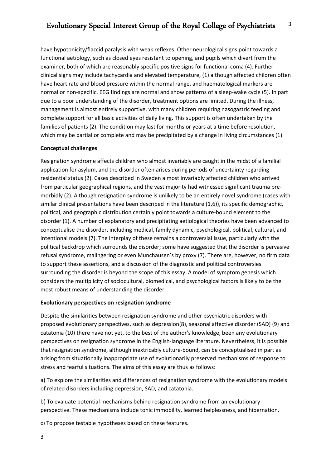have hypotonicity/flaccid paralysis with weak reflexes. Other neurological signs point towards a functional aetiology, such as closed eyes resistant to opening, and pupils which divert from the examiner, both of which are reasonably specific positive signs for functional coma (4). Further clinical signs may include tachycardia and elevated temperature, (1) although affected children often have heart rate and blood pressure within the normal range, and haematological markers are normal or non-specific. EEG findings are normal and show patterns of a sleep-wake cycle (5). In part due to a poor understanding of the disorder, treatment options are limited. During the illness, management is almost entirely supportive, with many children requiring nasogastric feeding and complete support for all basic activities of daily living. This support is often undertaken by the families of patients (2). The condition may last for months or years at a time before resolution, which may be partial or complete and may be precipitated by a change in living circumstances (1).

## **Conceptual challenges**

Resignation syndrome affects children who almost invariably are caught in the midst of a familial application for asylum, and the disorder often arises during periods of uncertainty regarding residential status (2). Cases described in Sweden almost invariably affected children who arrived from particular geographical regions, and the vast majority had witnessed significant trauma premorbidly (2). Although resignation syndrome is unlikely to be an entirely novel syndrome (cases with similar clinical presentations have been described in the literature (1,6)), its specific demographic, political, and geographic distribution certainly point towards a culture-bound element to the disorder (1). A number of explanatory and precipitating aetiological theories have been advanced to conceptualise the disorder, including medical, family dynamic, psychological, political, cultural, and intentional models (7). The interplay of these remains a controversial issue, particularly with the political backdrop which surrounds the disorder; some have suggested that the disorder is pervasive refusal syndrome, malingering or even Munchausen's by proxy (7). There are, however, no firm data to support these assertions, and a discussion of the diagnostic and political controversies surrounding the disorder is beyond the scope of this essay. A model of symptom genesis which considers the multiplicity of sociocultural, biomedical, and psychological factors is likely to be the most robust means of understanding the disorder.

## **Evolutionary perspectives on resignation syndrome**

Despite the similarities between resignation syndrome and other psychiatric disorders with proposed evolutionary perspectives, such as depression(8), seasonal affective disorder (SAD) (9) and catatonia (10) there have not yet, to the best of the author's knowledge, been any evolutionary perspectives on resignation syndrome in the English-language literature. Nevertheless, it is possible that resignation syndrome, although inextricably culture-bound, can be conceptualised in part as arising from situationally inappropriate use of evolutionarily preserved mechanisms of response to stress and fearful situations. The aims of this essay are thus as follows:

a) To explore the similarities and differences of resignation syndrome with the evolutionary models of related disorders including depression, SAD, and catatonia.

b) To evaluate potential mechanisms behind resignation syndrome from an evolutionary perspective. These mechanisms include tonic immobility, learned helplessness, and hibernation.

c) To propose testable hypotheses based on these features.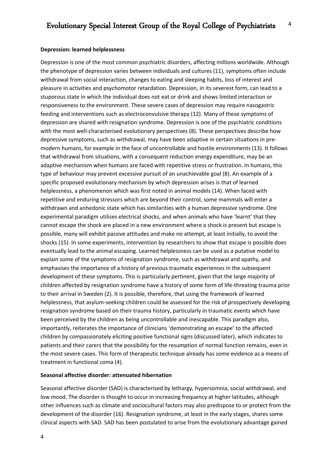### **Depression: learned helplessness**

Depression is one of the most common psychiatric disorders, affecting millions worldwide. Although the phenotype of depression varies between individuals and cultures (11), symptoms often include withdrawal from social interaction, changes to eating and sleeping habits, loss of interest and pleasure in activities and psychomotor retardation. Depression, in its severest form, can lead to a stuporous state in which the individual does not eat or drink and shows limited interaction or responsiveness to the environment. These severe cases of depression may require nasogastric feeding and interventions such as electroconvulsive therapy (12). Many of these symptoms of depression are shared with resignation syndrome. Depression is one of the psychiatric conditions with the most well-characterised evolutionary perspectives (8). These perspectives describe how depressive symptoms, such as withdrawal, may have been adaptive in certain situations in premodern humans, for example in the face of uncontrollable and hostile environments (13). It follows that withdrawal from situations, with a consequent reduction energy expenditure, may be an adaptive mechanism when humans are faced with repetitive stress or frustration. In humans, this type of behaviour may prevent excessive pursuit of an unachievable goal (8). An example of a specific proposed evolutionary mechanism by which depression arises is that of learned helplessness, a phenomenon which was first noted in animal models (14). When faced with repetitive and enduring stressors which are beyond their control, some mammals will enter a withdrawn and anhedonic state which has similarities with a human depressive syndrome. One experimental paradigm utilises electrical shocks, and when animals who have 'learnt' that they cannot escape the shock are placed in a new environment where a shock is present but escape is possible, many will exhibit passive attitudes and make no attempt, at least initially, to avoid the shocks (15). In some experiments, intervention by researchers to show that escape is possible does eventually lead to the animal escaping. Learned helplessness can be used as a putative model to explain some of the symptoms of resignation syndrome, such as withdrawal and apathy, and emphasises the importance of a history of previous traumatic experiences in the subsequent development of these symptoms. This is particularly pertinent, given that the large majority of children affected by resignation syndrome have a history of some form of life-threating trauma prior to their arrival in Sweden (2). It is possible, therefore, that using the framework of learned helplessness, that asylum-seeking children could be assessed for the risk of prospectively developing resignation syndrome based on their trauma history, particularly in traumatic events which have been perceived by the children as being uncontrollable and inescapable. This paradigm also, importantly, reiterates the importance of clinicians 'demonstrating an escape' to the affected children by compassionately eliciting positive functional signs (discussed later), which indicates to patients and their carers that the possibility for the resumption of normal function remains, even in the most severe cases. This form of therapeutic technique already has some evidence as a means of treatment in functional coma (4).

### **Seasonal affective disorder: attenuated hibernation**

Seasonal affective disorder (SAD) is characterised by lethargy, hypersomnia, social withdrawal, and low mood. The disorder is thought to occur in increasing frequency at higher latitudes, although other influences such as climate and sociocultural factors may also predispose to or protect from the development of the disorder (16). Resignation syndrome, at least in the early stages, shares some clinical aspects with SAD. SAD has been postulated to arise from the evolutionary advantage gained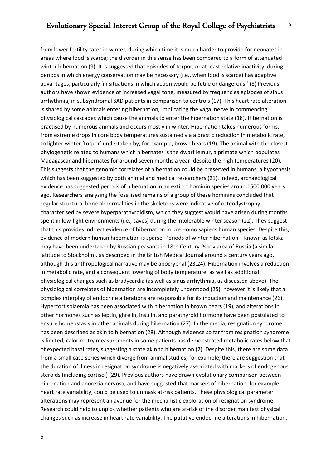from lower fertility rates in winter, during which time it is much harder to provide for neonates in areas where food is scarce; the disorder in this sense has been compared to a form of attenuated winter hibernation (9). It is suggested that episodes of torpor, or at least relative inactivity, during periods in which energy conservation may be necessary (i.e., when food is scarce) has adaptive advantages, particularly 'in situations in which action would be futile or dangerous.' (8) Previous authors have shown evidence of increased vagal tone, measured by frequencies episodes of sinus arrhythmia, in subsyndromal SAD patients in comparison to controls (17). This heart rate alteration is shared by some animals entering hibernation, implicating the vagal nerve in commencing physiological cascades which cause the animals to enter the hibernation state (18). Hibernation is practised by numerous animals and occurs mostly in winter. Hibernation takes numerous forms, from extreme drops in core body temperatures sustained via a drastic reduction in metabolic rate, to lighter winter 'torpor' undertaken by, for example, brown bears (19). The animal with the closest phylogenetic related to humans which hibernates is the dwarf lemur, a primate which populates Madagascar and hibernates for around seven months a year, despite the high temperatures (20). This suggests that the genomic correlates of hibernation could be preserved in humans, a hypothesis which has been suggested by both animal and medical researchers (21). Indeed, archaeological evidence has suggested periods of hibernation in an extinct hominin species around 500,000 years ago. Researchers analysing the fossilised remains of a group of these hominins concluded that regular structural bone abnormalities in the skeletons were indicative of osteodystrophy characterised by severe hyperparathyroidism, which they suggest would have arisen during months spent in low-light environments (i.e., caves) during the intolerable winter season (22). They suggest that this provides indirect evidence of hibernation in pre Homo sapiens human species. Despite this, evidence of modern human hibernation is sparse. Periods of winter hibernation – known as lotska – may have been undertaken by Russian peasants in 18th Century Pskov area of Russia (a similar latitude to Stockholm), as described in the British Medical Journal around a century years ago, although this anthropological narrative may be apocryphal (23,24). Hibernation involves a reduction in metabolic rate, and a consequent lowering of body temperature, as well as additional physiological changes such as bradycardia (as well as sinus arrhythmia, as discussed above). The physiological correlates of hibernation are incompletely understood (25), however it is likely that a complex interplay of endocrine alterations are responsible for its induction and maintenance (26). Hypercortisolaemia has been associated with hibernation in brown bears (19), and alterations in other hormones such as leptin, ghrelin, insulin, and parathyroid hormone have been postulated to ensure homeostasis in other animals during hibernation (27). In the media, resignation syndrome has been described as akin to hibernation (28). Although evidence so far from resignation syndrome is limited, calorimetry measurements in some patients has demonstrated metabolic rates below that of expected basal rates, suggesting a state akin to hibernation (2). Despite this, there are some data from a small case series which diverge from animal studies; for example, there are suggestion that the duration of illness in resignation syndrome is negatively associated with markers of endogenous steroids (including cortisol) (29). Previous authors have drawn evolutionary comparison between hibernation and anorexia nervosa, and have suggested that markers of hibernation, for example heart rate variability, could be used to unmask at-risk patients. These physiological parameter alterations may represent an avenue for the mechanistic exploration of resignation syndrome. Research could help to unpick whether patients who are at-risk of the disorder manifest physical changes such as increase in heart rate variability. The putative endocrine alterations in hibernation,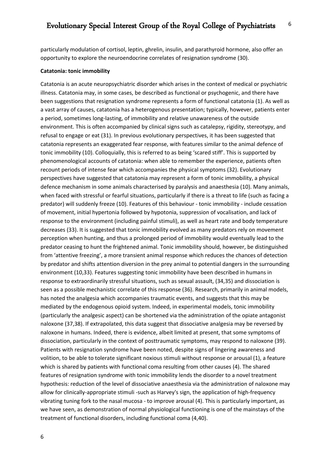particularly modulation of cortisol, leptin, ghrelin, insulin, and parathyroid hormone, also offer an opportunity to explore the neuroendocrine correlates of resignation syndrome (30).

#### **Catatonia: tonic immobility**

Catatonia is an acute neuropsychiatric disorder which arises in the context of medical or psychiatric illness. Catatonia may, in some cases, be described as functional or psychogenic, and there have been suggestions that resignation syndrome represents a form of functional catatonia (1). As well as a vast array of causes, catatonia has a heterogenous presentation; typically, however, patients enter a period, sometimes long-lasting, of immobility and relative unawareness of the outside environment. This is often accompanied by clinical signs such as catalepsy, rigidity, stereotypy, and refusal to engage or eat (31). In previous evolutionary perspectives, it has been suggested that catatonia represents an exaggerated fear response, with features similar to the animal defence of tonic immobility (10). Colloquially, this is referred to as being 'scared stiff'. This is supported by phenomenological accounts of catatonia: when able to remember the experience, patients often recount periods of intense fear which accompanies the physical symptoms (32). Evolutionary perspectives have suggested that catatonia may represent a form of tonic immobility, a physical defence mechanism in some animals characterised by paralysis and anaesthesia (10). Many animals, when faced with stressful or fearful situations, particularly if there is a threat to life (such as facing a predator) will suddenly freeze (10). Features of this behaviour - tonic immobility - include cessation of movement, initial hypertonia followed by hypotonia, suppression of vocalisation, and lack of response to the environment (including painful stimuli), as well as heart rate and body temperature decreases (33). It is suggested that tonic immobility evolved as many predators rely on movement perception when hunting, and thus a prolonged period of immobility would eventually lead to the predator ceasing to hunt the frightened animal. Tonic immobility should, however, be distinguished from 'attentive freezing', a more transient animal response which reduces the chances of detection by predator and shifts attention diversion in the prey animal to potential dangers in the surrounding environment (10,33). Features suggesting tonic immobility have been described in humans in response to extraordinarily stressful situations, such as sexual assault, (34,35) and dissociation is seen as a possible mechanistic correlate of this response (36). Research, primarily in animal models, has noted the analgesia which accompanies traumatic events, and suggests that this may be mediated by the endogenous opioid system. Indeed, in experimental models, tonic immobility (particularly the analgesic aspect) can be shortened via the administration of the opiate antagonist naloxone (37,38). If extrapolated, this data suggest that dissociative analgesia may be reversed by naloxone in humans. Indeed, there is evidence, albeit limited at present, that some symptoms of dissociation, particularly in the context of posttraumatic symptoms, may respond to naloxone (39). Patients with resignation syndrome have been noted, despite signs of lingering awareness and volition, to be able to tolerate significant noxious stimuli without response or arousal (1), a feature which is shared by patients with functional coma resulting from other causes (4). The shared features of resignation syndrome with tonic immobility lends the disorder to a novel treatment hypothesis: reduction of the level of dissociative anaesthesia via the administration of naloxone may allow for clinically-appropriate stimuli -such as Harvey's sign, the application of high-frequency vibrating tuning fork to the nasal mucosa - to improve arousal (4). This is particularly important, as we have seen, as demonstration of normal physiological functioning is one of the mainstays of the treatment of functional disorders, including functional coma (4,40).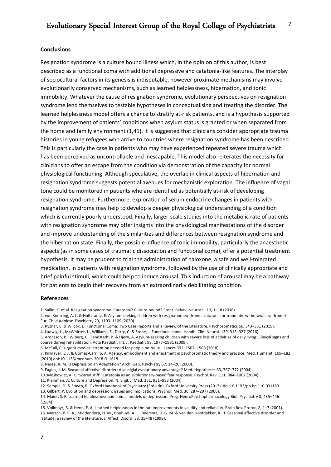#### **Conclusions**

Resignation syndrome is a culture bound illness which, in the opinion of this author, is best described as a functional coma with additional depressive and catatonia-like features. The interplay of sociocultural factors in its genesis is indisputable, however proximate mechanisms may involve evolutionarily conserved mechanisms, such as learned helplessness, hibernation, and tonic immobility. Whatever the cause of resignation syndrome, evolutionary perspectives on resignation syndrome lend themselves to testable hypotheses in conceptualising and treating the disorder. The learned helplessness model offers a chance to stratify at-risk patients, and is a hypothesis supported by the improvement of patients' conditions when asylum status is granted or when separated from the home and family environment (1,41). It is suggested that clinicians consider appropriate trauma histories in young refugees who arrive to countries where resignation syndrome has been described. This is particularly the case in patients who may have experienced repeated severe trauma which has been perceived as uncontrollable and inescapable. This model also reiterates the necessity for clinicians to offer an escape from the condition via demonstration of the capacity for normal physiological functioning. Although speculative, the overlap in clinical aspects of hibernation and resignation syndrome suggests potential avenues for mechanistic exploration. The influence of vagal tone could be monitored in patients who are identified as potentially at-risk of developing resignation syndrome. Furthermore, exploration of serum endocrine changes in patients with resignation syndrome may help to develop a deeper physiological understanding of a condition which is currently poorly understood. Finally, larger-scale studies into the metabolic rate of patients with resignation syndrome may offer insights into the physiological manifestations of the disorder and improve understanding of the similarities and differences between resignation syndrome and the hibernation state. Finally, the possible influence of tonic immobility, particularly the anaesthetic aspects (as in some cases of traumatic dissociation and functional coma), offer a potential treatment hypothesis. It may be prudent to trial the administration of naloxone, a safe and well-tolerated medication, in patients with resignation syndrome, followed by the use of clinically appropriate and brief painful stimuli, which could help to induce arousal. This induction of arousal may be a pathway for patients to begin their recovery from an extraordinarily debilitating condition.

#### **References**

3. Ryznar, E. & Wilcox, D. Functional Coma: Two Case Reports and a Review of the Literature. Psychosomatics 60, 343–351 (2019).

4. Ludwig, L., McWhirter, L., Williams, S., Derry, C. & Stone, J. Functional coma. Handb. Clin. Neurol. 139, 313–327 (2016).

6. McCall, C. Urgent medical attention needed for people on Nauru. Lancet 392, 1507–1508 (2018).

10. Moskowitz, A. K. 'Scared stiff': Catatonia as an evolutionary-based fear response. Psychol. Rev. 111, 984–1002 (2004).

11. Kleinman, A. Culture and Depression. N. Engl. J. Med. 351, 951–953 (2004).

13. Gilbert, P. Evolution and depression: issues and implications. Psychol. Med. 36, 287–297 (2006).

15. Vollmayr, B. & Henn, F. A. Learned helplessness in the rat: improvements in validity and reliability. Brain Res. Protoc. 8, 1–7 (2001). 16. Mersch, P. P. A., Middendorp, H. M., Bouhuys, A. L., Beersma, D. G. M. & van den Hoofdakker, R. H. Seasonal affective disorder and latitude: a review of the literature. J. Affect. Disord. 53, 35–48 (1999).

<sup>1.</sup> Sallin, K. et al. Resignation syndrome: Catatonia? Culture-bound? Front. Behav. Neurosci. 10, 1–18 (2016).

<sup>2.</sup> von Knorring, A. L. & Hultcrantz, E. Asylum-seeking children with resignation syndrome: catatonia or traumatic withdrawal syndrome? Eur. Child Adolesc. Psychiatry 29, 1103–1109 (2020).

<sup>5.</sup> Aronsson, B., Wiberg, C., Sandstedt, P. & Hjern, A. Asylum-seeking children with severe loss of activities of daily living: Clinical signs and course during rehabilitation. Acta Paediatr. Int. J. Paediatr. 98, 1977–1981 (2009).

<sup>7.</sup> Kirmayer, L. J. & Gómez-Carrillo, A. Agency, embodiment and enactment in psychosomatic theory and practice. Med. Humanit. 169–182 (2019) doi:10.1136/medhum-2018-011618.

<sup>8.</sup> Nesse, R. M. Is Depression an Adaptation? Arch. Gen. Psychiatry 57, 14–20 (2000).

<sup>9.</sup> Eagles, J. M. Seasonal affective disorder: A vestigial evolutionary advantage? Med. Hypotheses 63, 767–772 (2004).

<sup>12.</sup> Semple, D. & Smyth, R. Oxford Handbook of Psychiatry (3rd edn). Oxford University Press (2013). doi:10.1192/pb.bp.110.031153.

<sup>14.</sup> Maier, S. F. Learned helplessness and animal models of depression. Prog. NeuroPsychopharmacology Biol. Psychiatry 8, 435–446 (1984).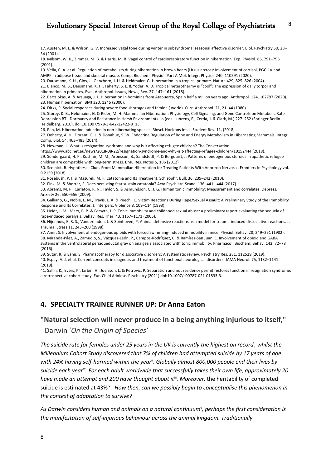17. Austen, M. L. & Wilson, G. V. Increased vagal tone during winter in subsyndromal seasonal affective disorder. Biol. Psychiatry 50, 28– 34 (2001).

18. Milsom, W. K., Zimmer, M. B. & Harris, M. B. Vagal control of cardiorespiratory function in hibernation. Exp. Physiol. 86, 791–796 (2001).

19. Vella, C. A. et al. Regulation of metabolism during hibernation in brown bears (Ursus arctos): Involvement of cortisol, PGC-1α and AMPK in adipose tissue and skeletal muscle. Comp. Biochem. Physiol. Part A Mol. Integr. Physiol. 240, 110591 (2020).

20. Dausmann, K. H., Glos, J., Ganzhorn, J. U. & Heldmaier, G. Hibernation in a tropical primate. Nature 429, 825–826 (2004).

21. Blanco, M. B., Dausmann, K. H., Faherty, S. L. & Yoder, A. D. Tropical heterothermy is "cool": The expression of daily torpor and hibernation in primates. Evol. Anthropol. Issues, News, Rev. 27, 147–161 (2018).

22. Bartsiokas, A. & Arsuaga, J. L. Hibernation in hominins from Atapuerca, Spain half a million years ago. Anthropol. 124, 102797 (2020). 23. Human hibernation. BMJ 320, 1245 (2000).

24. Dirks, R. Social responses during severe food shortages and famine ( world). Curr. Anthropol. 21, 21–44 (1980).

25. Storey, K. B., Heldmaier, G. & Rider, M. H. Mammalian Hibernation: Physiology, Cell Signaling, and Gene Controls on Metabolic Rate Depression BT - Dormancy and Resistance in Harsh Environments. in (eds. Lubzens, E., Cerda, J. & Clark, M.) 227–252 (Springer Berlin Heidelberg, 2010). doi:10.1007/978-3-642-12422-8\_13.

26. Pan, M. Hibernation induction in non-hibernating species. Biosci. Horizons Int. J. Student Res. 11, (2018).

27. Doherty, A. H., Florant, G. L. & Donahue, S. W. Endocrine Regulation of Bone and Energy Metabolism in Hibernating Mammals. Integr. Comp. Biol. 54, 463–483 (2014).

28. Newman, L. What is resignation syndrome and why is it affecting refugee children? The Conversation

https://www.abc.net.au/news/2018-08-22/resignation-syndrome-and-why-isit-affecting-refugee-children/10152444 (2018).

29. Söndergaard, H. P., Kushnir, M. M., Aronsson, B., Sandstedt, P. & Bergquist, J. Patterns of endogenous steroids in apathetic refugee children are compatible with long-term stress. BMC Res. Notes 5, 186 (2012).

30. Scolnick, B. Hypothesis: Clues From Mammalian Hibernation for Treating Patients With Anorexia Nervosa . Frontiers in Psychology vol. 9 2159 (2018).

31. Rosebush, P. I. & Mazurek, M. F. Catatonia and Its Treatment. Schizophr. Bull. 36, 239–242 (2010).

32. Fink, M. & Shorter, E. Does persisting fear sustain catatonia? Acta Psychiatr. Scand. 136, 441– 444 (2017).

33. Abrams, M. P., Carleton, R. N., Taylor, S. & Asmundson, G. J. G. Human tonic immobility: Measurement and correlates. Depress. Anxiety 26, 550–556 (2009).

34. Galliano, G., Noble, L. M., Travis, L. A. & Puechl, C. Victim Reactions During Rape/Sexual Assault: A Preliminary Study of the Immobility Response and Its Correlates. J. Interpers. Violence 8, 109–114 (1993).

35. Heidt, J. M., Marx, B. P. & Forsyth, J. P. Tonic immobility and childhood sexual abuse: a preliminary report evaluating the sequela of rape-induced paralysis. Behav. Res. Ther. 43, 1157–1171 (2005).

36. Nijenhuis, E. R. S., Vanderlinden, J. & Spinhoven, P. Animal defensive reactions as a model for trauma-induced dissociative reactions. J. Trauma. Stress 11, 243–260 (1998).

37. Amir, S. Involvement of endogenous opioids with forced swimming-induced immobility in mice. Physiol. Behav. 28, 249–251 (1982). 38. Miranda-Páez, A., Zamudio, S., Vázquez-León, P., Campos-Rodríguez, C. & Ramírez-San Juan, E. Involvement of opioid and GABA systems in the ventrolateral periaqueductal gray on analgesia associated with tonic immobility. Pharmacol. Biochem. Behav. 142, 72–78 (2016).

39. Sutar, R. & Sahu, S. Pharmacotherapy for dissociative disorders: A systematic review. Psychiatry Res. 281, 112529 (2019). 40. Espay, A. J. et al. Current concepts in diagnosis and treatment of functional neurological disorders. JAMA Neurol. 75, 1132–1141 (2018).

41. Sallin, K., Evers, K., Jarbin, H., Joelsson, L. & Petrovic, P. Separation and not residency permit restores function in resignation syndrome: a retrospective cohort study. Eur. Child Adolesc. Psychiatry (2021) doi:10.1007/s00787-021-01833-3.

# **4. SPECIALTY TRAINEE RUNNER UP: Dr Anna Eaton**

## **"Natural selection will never produce in a being anything injurious to itself,"**

- Darwin '*On the Origin of Species'*

*The suicide rate for females under 25 years in the UK is currently the highest on record*<sup>i</sup> *, whilst the Millennium Cohort Study discovered that 7% of children had attempted suicide by 17 years of age with 24% having self-harmed within the year*ii*. Globally almost 800,000 people end their lives by suicide each yeariii. For each adult worldwide that successfully takes their own life, approximately 20 have made an attempt and 200 have thought about it*iii*. Moreover,* the heritability of completed suicide is estimated at 43%<sup>iv</sup>. *How then, can we possibly begin to conceptualise this phenomenon in the context of adaptation to survive?* 

As Darwin considers human and animals on a natural continuum<sup>v</sup>, perhaps the first consideration is *the manifestation of self-injurious behaviour across the animal kingdom. Traditionally*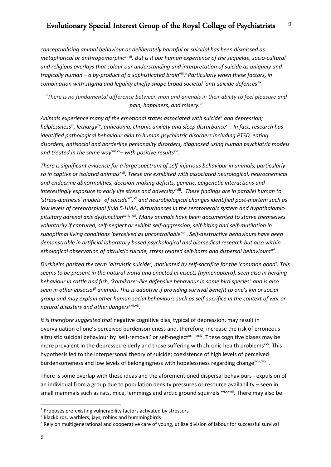*conceptualising animal behaviour as deliberately harmful or suicidal has been dismissed as metaphorical or anthropomorphic*vi*,*vii*. But is it our human experience of the sequelae, socio-cultural and religious overlays that colour our understanding and interpretation of suicide as uniquely and tragically human – a by-product of a sophisticated brain*viii*? Particularly when these factors, in combination with stigma and legality chiefly shape broad societal 'anti-suicide defences'*ix*.* 

*"There is no fundamental difference between man and animals in their ability to feel pleasure and pain, happiness, and misery."*

Animals experience many of the emotional states associated with suicide<sup>x</sup> and depression; *helplessness*xi*, lethargy*xii*, anhedonia, chronic anxiety and sleep disturbance*xiii*. In fact, research has identified pathological behaviour akin to human psychiatric disorders including PTSD, eating disorders, antisocial and borderline personality disorders, diagnosed using human psychiatric models and treated in the same way*<sup>xiv,xv</sup>– with positive results<sup>xvi</sup>.

*There is significant evidence for a large spectrum of self-injurious behaviour in animals, particularly so in captive or isolated animals*xvii*. These are exhibited with associated neurological, neurochemical and endocrine abnormalities, decision-making deficits, genetic, epigenetic interactions and interestingly exposure to early life stress and adversity*xviii*. These findings are in parallel human to*  'stress-diathesis' models<sup>1</sup> of suicide<sup>xix</sup>, xx and neurobiological changes identified post-mortem such as *low levels of cerebrospinal fluid 5-HIAA, disturbances in the serotonergic system and hypothalamicpituitary adrenal axis dysfunction*xviii*,* xxi*. Many animals have been documented to starve themselves voluntarily if captured, self-neglect or exhibit self-aggression, self-biting and self-mutilation in suboptimal living conditions 'perceived as uncontrollable'*xiii*. Self-destructive behaviours have been demonstrable in artificial laboratory based psychological and biomedical research but also within ethological observation of altruistic suicide, stress related self-harm and dispersal behavioursxvi.*

*Durkheim posited the term 'altruistic suicide', motivated by self-sacrifice for the 'common good'. This seems to be present in the natural world and enacted in insects (hymenoptera), seen also in herding behaviour in cattle and fish, 'kamikaze'-like defensive behaviour in some bird species*<sup>2</sup> *and is also seen in other eusocial*<sup>3</sup> *animals. This is adaptive if providing survival benefit to one's kin or social group and may explain other human social behaviours such as self-sacrifice in the context of war or natural disasters and other dangers*xxii*,*vii*.* 

*It is therefore suggested that* negative cognitive bias, typical of depression, may result in overvaluation of one's perceived burdensomeness and, therefore, increase the risk of erroneous altruistic suicidal behaviour by 'self-removal' or self-neglect<sup>xxiii, xxiv</sup>. These cognitive biases may be more prevalent in the depressed elderly and those suffering with chronic health problems<sup>xxv</sup>. This hypothesis led to the interpersonal theory of suicide; coexistence of high levels of perceived burdensomeness and low levels of belongingness with hopelessness regarding change<sup>xxvii</sup>.

There is some overlap with these ideas and the aforementioned dispersal behaviours - expulsion of an individual from a group due to population density pressures or resource availability – seen in small mammals such as rats, mice, lemmings and arctic ground squirrels xvi,xxviii. There may also be

<sup>&</sup>lt;sup>1</sup> Proposes pre-existing vulnerability factors activated by stressors  $^2$  Blackbirds, warblers, jays, robins and hummingbirds

<sup>&</sup>lt;sup>3</sup> Rely on multigenerational and cooperative care of young, utilize division of labour for successful survival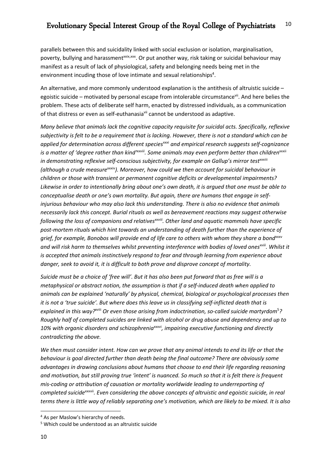parallels between this and suicidality linked with social exclusion or isolation, marginalisation, poverty, bullying and harassment<sup>xxix,xxx</sup>. Or put another way, risk taking or suicidal behaviour may manifest as a result of lack of physiological, safety and belonging needs being met in the environment incuding those of love intimate and sexual relationships<sup>4</sup>.

An alternative, and more commonly understood explanation is the antithesis of altruistic suicide – egoistic suicide – motivated by personal escape from intolerable circumstancevii. And here belies the problem. These acts of deliberate self harm, enacted by distressed individuals, as a communication of that distress or even as self-euthanasia<sup>vii</sup> cannot be understood as adaptive.

*Many believe that animals lack the cognitive capacity requisite for suicidal acts. Specifically, reflexive subjectivity is felt to be a requirement that is lacking. However, there is not a standard which can be*  applied for determination across different species<sup>xxxi</sup> and empirical research suggests self-cognizance *is a matter of 'degree rather than kind'<sup>xxviii</sup>. Some animals may even perform better than children<sup>xxxii</sup>* in demonstrating reflexive self-conscious subjectivity, for example on Gallup's mirror testxxxiii *(although a crude measure*xxxiv*). Moreover, how could we then account for suicidal behaviour in children or those with transient or permanent cognitive deficits or developmental impairments? Likewise in order to intentionally bring about one's own death, it is argued that one must be able to conceptualise death or one's own mortality. But again, there are humans that engage in selfinjurious behaviour who may also lack this understanding. There is also no evidence that animals necessarily lack this concept. Burial rituals as well as bereavement reactions may suggest otherwise following the loss of companions and relativesxxviii. Other land and aquatic mammals have specific post-mortem rituals which hint towards an understanding of death further than the experience of*  grief, for example, Bonobos will provide end of life care to others with whom they share a bond<sup>xxxv</sup> and will risk harm to themselves whilst preventing interference with bodies of loved ones<sup>xviii</sup>. Whilst it *is accepted that animals instinctively respond to fear and through learning from experience about danger, seek to avoid it, it is difficult to both prove and disprove concept of mortality.* 

*Suicide must be a choice of 'free will'. But it has also been put forward that as free will is a metaphysical or abstract notion, the assumption is that if a self-induced death when applied to animals can be explained 'naturally' by physical, chemical, biological or psychological processes then it is not a 'true suicide'. But where does this leave us in classifying self-inflicted death that is explained in this way?*xviii *Or even those arising from indoctrination, so-called suicide martyrdom*<sup>5</sup> *? Roughly half of completed suicides are linked with alcohol or drug abuse and dependency and up to*  10% with organic disorders and schizophrenia<sup>xxxvi</sup>, impairing executive functioning and directly *contradicting the above.* 

*We then must consider intent. How can we prove that any animal intends to end its life or that the behaviour is goal directed further than death being the final outcome? There are obviously some advantages in drawing conclusions about humans that choose to end their life regarding reasoning and motivation, but still proving true 'intent' is nuanced. So much so that it is felt there is frequent mis-coding or attribution of causation or mortality worldwide leading to underreporting of completed suicide*xxxvii*. Even considering the above concepts of altruistic and egoistic suicide, in real terms there is little way of reliably separating one's motivation, which are likely to be mixed. It is also* 

<sup>4</sup> As per Maslow's hierarchy of needs.

<sup>5</sup> Which could be understood as an altruistic suicide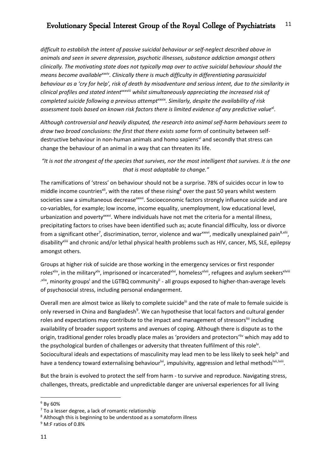*difficult to establish the intent of passive suicidal behaviour or self-neglect described above in animals and seen in severe depression, psychotic illnesses, substance addiction amongst others clinically. The motivating state does not typically map over to active suicidal behaviour should the means become availablexxxiv. Clinically there is much difficulty in differentiating parasuicidal behaviour as a 'cry for help', risk of death by misadventure and serious intent, due to the similarity in clinical profiles and stated intent*xxxviii *whilst simultaneously appreciating the increased risk of completed suicide following a previous attempt*xxxix*. Similarly, despite the availability of risk assessment tools based on known risk factors there is limited evidence of any predictive value*xl*.* 

*Although controversial and heavily disputed, the research into animal self-harm behaviours seem to*  draw two broad conclusions: the first that there exists some form of continuity between selfdestructive behaviour in non-human animals and homo sapiens<sup>vi</sup> and secondly that stress can change the behaviour of an animal in a way that can threaten its life.

*"It is not the strongest of the species that survives, nor the most intelligent that survives. It is the one that is most adaptable to change."*

The ramifications of 'stress' on behaviour should not be a surprise. 78% of suicides occur in low to middle income countries<sup>xli</sup>, with the rates of these rising<sup>6</sup> over the past 50 years whilst western societies saw a simultaneous decreasexxxvi. Socioeconomic factors strongly influence suicide and are co-variables, for example; low income, income equality, unemployment, low educational level, urbanization and poverty<sup>xxxvi</sup>. Where individuals have not met the criteria for a mental illness, precipitating factors to crises have been identified such as; acute financial difficulty, loss or divorce from a significant other<sup>7</sup>, discrimination, terror, violence and war<sup>xxxvi</sup>, medically unexplained pain<sup>8,xlii</sup>, disabilityxliii and chronic and/or lethal physical health problems such as HIV, cancer, MS, SLE, epilepsy amongst others.

Groups at higher risk of suicide are those working in the emergency services or first responder roles<sup>xliv</sup>, in the military<sup>xlv</sup>, imprisoned or incarcerated<sup>xlvi</sup>, homeless<sup>xlvii</sup>, refugees and asylum seekers<sup>xlviii</sup> <sup>xlix</sup>, minority groups<sup>1</sup> and the LGTBQ community<sup>li</sup> - all groups exposed to higher-than-average levels of psychosocial stress, including personal endangerment.

Overall men are almost twice as likely to complete suicide<sup>lii</sup> and the rate of male to female suicide is only reversed in China and Bangladesh<sup>9</sup>. We can hypothesise that local factors and cultural gender roles and expectations may contribute to the impact and management of stressors<sup>liii</sup> including availability of broader support systems and avenues of coping. Although there is dispute as to the origin, traditional gender roles broadly place males as 'providers and protectors' liv which may add to the psychological burden of challenges or adversity that threaten fulfilment of this role<sup>ly</sup>. Sociocultural ideals and expectations of masculinity may lead men to be less likely to seek help<sup>IV</sup> and have a tendency toward externalising behaviour<sup>lvi</sup>, impulsivity, aggression and lethal methods<sup>lvii,lviii</sup>.

But the brain is evolved to protect the self from harm - to survive and reproduce. Navigating stress, challenges, threats, predictable and unpredictable danger are universal experiences for all living

<sup>6</sup> By 60%

 $<sup>7</sup>$  To a lesser degree, a lack of romantic relationship<br><sup>8</sup> Although this is beginning to be understood as a somatoform illness</sup>

<sup>9</sup> M:F ratios of 0.8%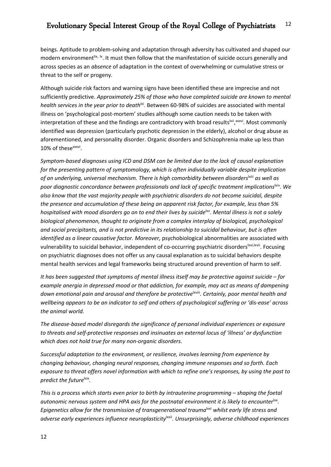beings. Aptitude to problem-solving and adaptation through adversity has cultivated and shaped our modern environment tix, Ix. It must then follow that the manifestation of suicide occurs generally and across species as an *absence* of adaptation in the context of overwhelming or cumulative stress or threat to the self or progeny.

Although suicide risk factors and warning signs have been identified these are imprecise and not sufficiently predictive. *Approximately 25% of those who have completed suicide are known to mental health services in the year prior to death*<sup>|xi</sup>. Between 60-98% of suicides are associated with mental illness on 'psychological post-mortem' studies although some caution needs to be taken with interpretation of these and the findings are contradictory with broad results<sup>|xii</sup>, xxxvi. Most commonly identified was depression (particularly psychotic depression in the elderly), alcohol or drug abuse as aforementioned, and personality disorder. Organic disorders and Schizophrenia make up less than 10% of these<sup>xxxvi</sup>.

*Symptom-based diagnoses using ICD and DSM can be limited due to the lack of causal explanation for the presenting pattern of symptomology, which is often individually variable despite implication of an underlying, universal mechanism. There is high comorbidity between disorders*lxiii *as well as poor diagnostic concordance between professionals and lack of specific treatment implications*lxiv*. We also know that the vast majority people with psychiatric disorders do not become suicidal, despite the presence and accumulation of these being an apparent risk factor, for example, less than 5% hospitalised with mood disorders go on to end their lives by suicide<sup>lxv</sup>. Mental illness is not a solely biological phenomenon, thought to originate from a complex interplay of biological, psychological and social precipitants, and is not predictive in its relationship to suicidal behaviour, but is often identified as a linear causative factor. Moreover,* psychobiological abnormalities are associated with vulnerability to suicidal behavior, independent of co-occurring psychiatric disorders<sup>lxvi,lxvii</sup>. Focusing on psychiatric diagnoses does not offer us any causal explanation as to suicidal behaviors despite mental health services and legal frameworks being structured around prevention of harm to self.

*It has been suggested that symptoms of mental illness itself may be protective against suicide – for example anergia in depressed mood or that addiction, for example, may act as means of dampening*  down emotional pain and arousal and therefore be protective<sup>lxviii</sup>. Certainly, poor mental health and *wellbeing appears to be an indicator to self and others of psychological suffering or 'dis-ease' across the animal world.* 

*The disease-based model disregards the significance of personal individual experiences or exposure to threats and self-protective responses and insinuates an external locus of 'illness' or dysfunction which does not hold true for many non-organic disorders.* 

*Successful adaptation to the environment, or resilience, involves learning from experience by changing behaviour, changing neural responses, changing immune responses and so forth. Each exposure to threat offers novel information with which to refine one's responses, by using the past to predict the future*<sup>lxix</sup>.

*This is a process which starts even prior to birth by intrauterine programming – shaping the foetal autonomic nervous system and HPA axis for the postnatal environment it is likely to encounter*lxx*. Epigenetics allow for the transmission of transgenerational trauma<sup>lxxi</sup> whilst early life stress and* adverse early experiences influence neuroplasticity<sup>lxxii</sup>. Unsurprisingly, adverse childhood experiences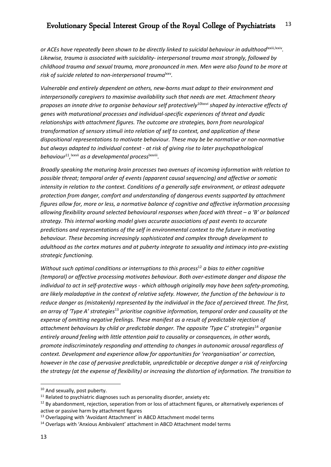*or ACEs have repeatedly been shown to be directly linked to suicidal behaviour in adulthood*lxxiii*,*lxxiv*. Likewise, trauma is associated with suicidality- interpersonal trauma most strongly, followed by childhood trauma and sexual trauma, more pronounced in men. Men were also found to be more at*  risk of suicide related to non-interpersonal trauma<sup>lxxv</sup>.

*Vulnerable and entirely dependent on others, new-borns must adapt to their environment and interpersonally caregivers to maximise availability such that needs are met. Attachment theory proposes an innate drive to organise behaviour self protectively*10lxxvi *shaped by interactive effects of genes with maturational processes and individual-specific experiences of threat and dyadic relationships with attachment figures. The outcome are strategies, born from neurological transformation of sensory stimuli into relation of self to context, and application of these dispositional representations to motivate behaviour. These may be be normative or non-normative but always adapted to individual context - at risk of giving rise to later psychopathological behaviour*<sup>11</sup>*,* lxxvii *as a developmental process*lxxviii*.* 

*Broadly speaking the maturing brain processes two avenues of incoming information with relation to possible threat; temporal order of events (apparent causal sequencing) and affective or somatic intensity in relation to the context. Conditions of a generally safe environment, or atleast adequate protection from danger, comfort and understanding of dangerous events supported by attachment figures allow for, more or less, a normative balance of cognitive and affective information processing allowing flexibility around selected behavioural responses when faced with threat – a 'B' or balanced strategy. This internal working model gives accurate associations of past events to accurate predictions and representations of the self in environmental context to the future in motivating behaviour. These becoming increasingly sophisticated and complex through development to adulthood as the cortex matures and at puberty integrate to sexuality and intimacy into pre-existing strategic functioning.* 

*Without such optimal conditions or interruptions to this process*<sup>12</sup> *a bias to either cognitive (temporal) or affective processing motivates behaviour. Both over-estimate danger and dispose the individual to act in self-protective ways - which although originally may have been safety-promoting, are likely maladaptive in the context of relative safety. However, the function of the behaviour is to reduce danger as (mistakenly) represented by the individual in the face of percieved threat. The first, an array of 'Type A' strategies*<sup>13</sup> *prioritise cognitive information, temporal order and causality at the expense of omitting negative feelings. These manifest as a result of predictable rejection of attachment behaviours by child or predictable danger. The opposite 'Type C' strategies*<sup>14</sup> *organise entirely around feeling with little attention paid to causality or consequences, in other words, promote indiscriminately responding and attending to changes in autonomic arousal regardless of context. Development and experience allow for opportunities for 'reorganisation' or correction, however in the case of pervasive predictable, unpredictable or deceptive danger a risk of reinforcing the strategy (at the expense of flexibility) or increasing the distortion of information. The transition to* 

<sup>&</sup>lt;sup>10</sup> And sexually, post puberty.

 $11$  Related to psychiatric diagnoses such as personality disorder, anxiety etc

 $12$  By abandonment, rejection, seperation from or loss of attachment figures, or alternatively experiences of active or passive harm by attachment figures

<sup>&</sup>lt;sup>13</sup> Overlapping with 'Avoidant Attachment' in ABCD Attachment model terms

<sup>&</sup>lt;sup>14</sup> Overlaps with 'Anxious Ambivalent' attachment in ABCD Attachment model terms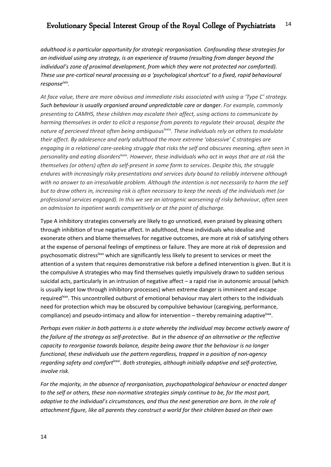*adulthood is a particular opportunity for strategic reorganisation. Confounding these strategies for an individual using any strategy, is an experience of trauma (resulting from danger beyond the individual's zone of proximal development, from which they were not protected nor comforted). These use pre-cortical neural processing as a 'psychological shortcut' to a fixed, rapid behavioural response<sup>lxix</sup>*.

*At face value, there are more obvious and immediate risks associated with using a 'Type C' strategy. Such behaviour is usually organised around unpredictable care or danger. For example, commonly presenting to CAMHS, these children may escalate their affect, using actions to communicate by harming themselves in order to elicit a response from parents to regulate their arousal, despite the*  nature of percieved threat often being ambiguous<sup>lxxix</sup>. These individuals rely on others to modulate *their affect. By adolesence and early adulthood the more extreme 'obsessive' C strategies are engaging in a relational care-seeking struggle that risks the self and obscures meaning, often seen in*  personality and eating disorders<sup>Ixxix</sup>. However, these individuals who act in ways that are at risk the *themselves (or others) often do self-present in some form to services. Despite this, the struggle endures with increasingly risky presentations and services duty bound to reliably intervene although with no answer to an irresolvable problem. Although the intention is not necessarily to harm the self but to draw others in, increasing risk is often necessary to keep the needs of the individuals met (or professional services engaged). In this we see an iatrogenic worsening of risky behaviour, often seen on admission to inpatient wards competitively or at the point of discharge.* 

Type A inhibitory strategies conversely are likely to go unnoticed, even praised by pleasing others through inhibition of true negative affect. In adulthood, these individuals who idealise and exonerate others and blame themselves for negative outcomes, are more at risk of satisfying others at the expense of personal feelings of emptiness or failure. They are more at risk of depression and psychosomatic distress<sup>1xxx</sup> which are significantly less likely to present to services or meet the attention of a system that requires demonstrative risk before a defined intervention is given. But it is the compulsive A strategies who may find themselves quietly impulsively drawn to sudden serious suicidal acts, particularly in an intrusion of negative affect – a rapid rise in autonomic arousal (which is usually kept low through inhibitory processes) when extreme danger is imminent and escape required<sup>Ixxx</sup>. This uncontrolled outburst of emotional behaviour may alert others to the individuals need for protection which may be obscured by compulsive behaviour (caregiving, performance, compliance) and pseudo-intimacy and allow for intervention – thereby remaining adaptive $\frac{1}{x}$ .

*Perhaps even riskier in both patterns is a state whereby the individual may become actively aware of the failure of the strategy as self-protective. But in the absence of an alternative or the reflective capacity to reorganise towards balance, despite being aware that the behaviour is no longer functional, these individuals use the pattern regardless, trapped in a position of non-agency regarding safety and comfort*lxxxi*. Both strategies, although initially adaptive and self-protective, involve risk.* 

*For the majority, in the absence of reorganisation, psychopathological behaviour or enacted danger to the self or others, these non-normative strategies simply continue to be, for the most part, adaptive to the individual's circumstances, and thus the next generation are born. In the role of attachment figure, like all parents they construct a world for their children based on their own*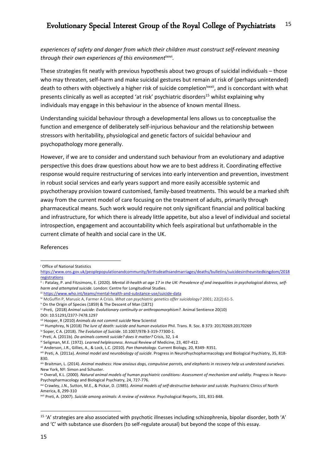*experiences of safety and danger from which their children must construct self-relevant meaning through their own experiences of this environment*<sup>1xxvi</sup>.

These strategies fit neatly with previous hypothesis about two groups of suicidal individuals – those who may threaten, self-harm and make suicidal gestures but remain at risk of (perhaps unintended) death to others with objectively a higher risk of suicide completion<sup>lxxxii</sup>, and is concordant with what presents clinically as well as accepted 'at risk' psychiatric disorders<sup>15</sup> whilst explaining why individuals may engage in this behaviour in the absence of known mental illness.

Understanding suicidal behaviour through a developmental lens allows us to conceptualise the function and emergence of deliberately self-injurious behaviour and the relationship between stressors with heritability, physiological and genetic factors of suicidal behaviour and psychopathology more generally.

However, if we are to consider and understand such behaviour from an evolutionary and adaptive perspective this does draw questions about how we are to best address it. Coordinating effective response would require restructuring of services into early intervention and prevention, investment in robust social services and early years support and more easily accessible systemic and psychotherapy provision toward customised, family-based treatments. This would be a marked shift away from the current model of care focusing on the treatment of adults, primarily through pharmaceutical means. Such work would require not only significant financial and political backing and infrastructure, for which there is already little appetite, but also a level of individual and societal introspection, engagement and accountability which feels aspirational but unfathomable in the current climate of health and social care in the UK.

## References

<sup>i</sup> Office of National Statistics

https://www.ons.gov.uk/peoplepopulationandcommunity/birthsdeathsandmarriages/deaths/bulletins/suicidesintheunitedkingdom/2018 registrations

ii: Patalay, P. and Fitzsimons, E. (2020). Mental ill-health at age 17 in the UK: Prevalence of and inequalities in psychological distress, self*harm and attempted suicide*. London: Centre for Longitudinal Studies.

iii https://www.who.int/teams/mental-health-and-substance-use/suicide-data

iv McGuffin P, Marusic A, Farmer A Crisis. *What can psychiatric genetics offer suicidology?* 2001; 22(2):61-5.

<sup>v</sup> On the Origin of Species (1859) & The Descent of Man (1871)

vi Preti, (2018) *Animal suicide: Evolutionary continuity or anthropomorphism?.* Animal Sentience 20(10)

DOI: 10.51291/2377-7478.1297

vii Hooper, R (2010) *Animals do not commit suicide* New Scientist

viii Humphrey, N (2018) *The lure of death: suicide and human evolution* Phil. Trans. R. Soc. B 373: 20170269.20170269

ix Soper, C A. (2018). *The Evolution of Suicide*. 10.1007/978-3-319-77300-1.

<sup>x</sup> Preti, A. (2011b). *Do animals commit suicide? does it matter?* Crisis, 32, 1-4

xi Seligman, M.E. (1972). *Learned helplessness*. Annual Review of Medicine, 23, 407-412.

xii Anderson, J.R., Gillies, A., & Lock, L.C. (2010). *Pan thanatology*. Current Biology, 20, R349- R351.

xiii Preti, A. (2011a). *Animal model and neurobiology of suicide*. Progress in NeuroPsychopharmacology and Biological Psychiatry, 35, 818- 830.

xiv Braitman, L. (2014). *Animal madness: How anxious dogs, compulsive parrots, and elephants in recovery help us understand ourselves*. New York, NY: Simon and Schuster.

xv Overall, K.L. (2000). *Natural animal models of human psychiatric conditions: Assessment of mechanism and validity*. Progress in Neuro-Psychopharmacology and Biological Psychiatry, 24, 727-776.

xvi Crawley, J.N., Sutton, M.E., & Pickar, D. (1985). *Animal models of self-destructive behavior and suicide*. Psychiatric Clinics of North America, 8, 299-310

xvii Preti, A. (2007). *Suicide among animals: A review of evidence*. Psychological Reports, 101, 831-848.

 $15$  'A' strategies are also associated with psychotic illnesses including schizophrenia, bipolar disorder, both 'A' and 'C' with substance use disorders (to self-regulate arousal) but beyond the scope of this essay.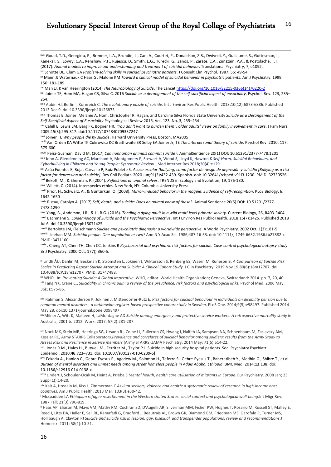xviii Gould, T.D., Georgiou, P., Brenner, L.A., Brundin, L., Can, A., Courtet, P., Donaldson, Z.R., Dwivedi, Y., Guillaume, S., Gottesman, I., Kanekar, S., Lowry, C.A., Renshaw, P.F., Rujescu, D., Smith, E.G., Turecki, G., Zanos, P., Zarate, C.A., Zunszain, P.A., & Postolache, T.T. (2017). *Animal models to improve our understanding and treatment of suicidal behavior*. Translational Psychiatry, 7, e1092. xix Schotte DE, Clum GA *Problem-solving skills in suicidal psychiatric patients*. J Consult Clin Psychol. 1987; 55: 49-54

xx Mann JJ Waternaux C Haas GL Malone KM *Toward a clinical model of suicidal behavior in psychiatric patients*. Am J Psychiatry. 1999; 156: 181-189

xxi Man JJ, K van Heerington (2014) *The Neurobiology of Suicide*, The Lancet https://doi.org/10.1016/S2215-0366(14)70220-2

xxii Joiner TE, Hom MA, Hagan CR, Silva C. 2016 *Suicide as a derangement of the self-sacrificial aspect of eusociality*. Psychol. Rev. 123, 235– 254.

xxiv Thomas E. Joiner, Melanie A. Hom, Christopher R. Hagan, and Caroline Silva Florida State University *Suicide as a Derangement of the Self-Sacrificial Aspect of Eusociality* Psychological Review 2016, Vol. 123, No. 3, 235–254

xxv Cahill E, Lewis LM, Barg FK, Bogner HR. *"You don't want to burden them": older adults' views on family involvement in care*. J Fam Nurs. 2009;15(3):295-317. doi:10.1177/1074840709337247

xxvi Joiner TE *Why people die by suicide*. Harvard University Press, Boston, MA2005

xxvii Van Orden KA Witte TK Cukrowicz KC Braithwaite SR Selby EA Joiner Jr, TE *The interpersonal theory of suicide*. Psychol Rev. 2010; 117: 575-600

xxviii Peña-Guzmán, David M. (2017) *Can nonhuman animals commit suicide?*. AnimalSentience 20(1) DOI: 10.51291/2377-7478.1201 xxix John A, Glendenning AC, Marchant A, Montgomery P, Stewart A, Wood S, Lloyd K, Hawton K *Self-Harm, Suicidal Behaviours, and Cyberbullying in Children and Young People: Systematic Review* J Med Internet Res 2018;20(4):e129

xxx Azúa Fuentes E, Rojas Carvallo P, Ruiz Poblete S. *Acoso escolar (bullying) como factor de riesgo de depresión y suicidio [Bullying as a risk factor for depression and suicide]*. Rev Chil Pediatr. 2020 Jun;91(3):432-439. Spanish. doi: 10.32641/rchped.v91i3.1230. PMID: 32730526. xxxi Bekoff, M., & Sherman, P. (2004). *Reflections on animal selves*. TRENDS in Ecology and Evolution, 19, 176-180. xxxii Willett, C. (2014). Interspecies ethics. New York, NY: Columbia University Press.

xxxiii Prior, H., Schwarz, A., & Güntürkün, O. (2008). *Mirror-induced behavior in the magpie*: *Evidence of self-recognition*. PLoS Biology, 6, 1642-1650

xxxiv Ristau, Carolyn A. (2017) *Self, death, and suicide: Does an animal know of these?*. Animal Sentience 20(5) DOI: 10.51291/2377- 7478.1290

xxxv Yang, B., Anderson, J.R., & Li, B.G. (2016). *Tending a dying adult in a wild multi-level primate society*. Current Biology, 26, R403-R404 xxxvi Bachmann S. *Epidemiology of Suicide and the Psychiatric Perspective*. Int J Environ Res Public Health. 2018;15(7):1425. Published 2018 Jul 6. doi:10.3390/ijerph15071425

xxxvii Bertolote JM, Fleischmann *Suicide and psychiatric diagnosis: a worldwide perspective*. A World Psychiatry. 2002 Oct; 1(3):181-5. xxxviii Linehan MM. *Suicidal people. One population or two?* Ann N Y Acad Sci. 1986;487:16-33. doi: 10.1111/j.1749-6632.1986.tb27882.x. PMID: 3471160.

xxxix . Cheng AT, Chen TH, Chen CC, Jenkins R *Psychosocial and psychiatric risk factors for suicide. Case-control psychological autopsy study* Br J Psychiatry. 2000 Oct; 177():360-5.

xl Lindh ÅU, Dahlin M, Beckman K, Strömsten L, Jokinen J, Wiktorsson S, Renberg ES, Waern M, Runeson B. *A Comparison of Suicide Risk Scales in Predicting Repeat Suicide Attempt and Suicide: A Clinical Cohort Study*. J Clin Psychiatry. 2019 Nov 19;80(6):18m12707. doi: 10.4088/JCP.18m12707. PMID: 31747488.

xli WHO . In: *Preventing Suicide: A Global Imperative*. WHO, editor. World Health Organization; Geneva, Switzerland: 2014. pp. 7, 20, 40. xlii Tang NK, Crane C., *Suicidality in chronic pain: a review of the prevalence, risk factors and psychological links*. Psychol Med. 2006 May; 36(5):575-86.

xliii Rahman S, Alexanderson K, Jokinen J, Mittendorfer-Rutz E. *Risk factors for suicidal behaviour in individuals on disability pension due to common mental disorders - a nationwide register-based prospective cohort study in Sweden*. PLoS One. 2014;9(5):e98497. Published 2014 May 28. doi:10.1371/journal.pone.0098497

xlivMilner A, Witt K, Maheen H, LaMontagne AD *Suicide among emergency and protective service workers: A retrospective mortality study* in Australia, 2001 to 2012. Work. 2017; 57(2):281-287.

xlv Nock MK, Stein MB, Heeringa SG, Ursano RJ, Colpe LJ, Fullerton CS, Hwang I, Naifeh JA, Sampson NA, Schoenbaum M, Zaslavsky AM, Kessler RC, Army STARRS Collaborators.*Prevalence and correlates of suicidal behavior among soldiers: results from the Army Study to Assess Risk and Resilience in Service members* (Army STARRS).JAMA Psychiatry. 2014 May; 71(5):514-22.

xlvi Jones R.M., Hales H., Butwell M., Ferriter M., Taylor P.J. Suicide in high security hospital patients. Soc. Psychiatry Psychiatr. Epidemiol. 2010;**46**:723–731. doi: 10.1007/s00127-010-0239-6]

xlvii Fekadu A., Hanlon C., Gebre-Eyesus E., Agedew M., Solomon H., Teferra S., Gebre-Eyesus T., Baheretibeb Y., Medhin G., Shibre T., et al. *Burden of mental disorders and unmet needs among street homeless people in Addis Ababa, Ethiopia*. BMC Med. 2014;**12**:138. doi: 10.1186/s12916-014-0138-x.

xlviii Lindert J, Schouler-Ocak M, Heinz A, Priebe S *Mental health, health care utilisation of migrants in Europe*. Eur Psychiatry. 2008 Jan; 23 Suppl 1():14-20.

xlix Kalt A, Hossain M, Kiss L, Zimmerman C *Asylum seekers, violence and health: a systematic review of research in high-income host countries*. Am J Public Health. 2013 Mar; 103(3):e30-42.

<sup>l</sup> Mcspadden LA *Ethiopian refugee resettlement in the Western United States: social context and psychological well-being*.Int Migr Rev. 1987 Fall; 21(3):796-819.

li Haas AP, Eliason M, Mays VM, Mathy RM, Cochran SD, D'Augelli AR, Silverman MM, Fisher PW, Hughes T, Rosario M, Russell ST, Malley E, Reed J, Litts DA, Haller E, Sell RL, Remafedi G, Bradford J, Beautrais AL, Brown GK, Diamond GM, Friedman MS, Garofalo R, Turner MS, Hollibaugh A, Clayton PJ *Suicide and suicide risk in lesbian, gay, bisexual, and transgender populations: review and recommendations*.J Homosex. 2011; 58(1):10-51.

xxiii Aubin HJ, Berlin I, Kornreich C. *The evolutionary puzzle of suicide*. Int J Environ Res Public Health. 2013;10(12):6873-6886. Published 2013 Dec 9. doi:10.3390/ijerph10126873